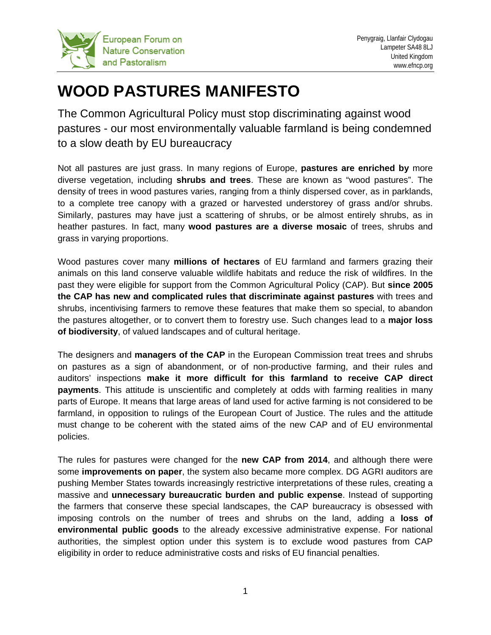

## **WOOD PASTURES MANIFESTO**

The Common Agricultural Policy must stop discriminating against wood pastures - our most environmentally valuable farmland is being condemned to a slow death by EU bureaucracy

Not all pastures are just grass. In many regions of Europe, **pastures are enriched by** more diverse vegetation, including **shrubs and trees**. These are known as "wood pastures". The density of trees in wood pastures varies, ranging from a thinly dispersed cover, as in parklands, to a complete tree canopy with a grazed or harvested understorey of grass and/or shrubs. Similarly, pastures may have just a scattering of shrubs, or be almost entirely shrubs, as in heather pastures. In fact, many **wood pastures are a diverse mosaic** of trees, shrubs and grass in varying proportions.

Wood pastures cover many **millions of hectares** of EU farmland and farmers grazing their animals on this land conserve valuable wildlife habitats and reduce the risk of wildfires. In the past they were eligible for support from the Common Agricultural Policy (CAP). But **since 2005 the CAP has new and complicated rules that discriminate against pastures** with trees and shrubs, incentivising farmers to remove these features that make them so special, to abandon the pastures altogether, or to convert them to forestry use. Such changes lead to a **major loss of biodiversity**, of valued landscapes and of cultural heritage.

The designers and **managers of the CAP** in the European Commission treat trees and shrubs on pastures as a sign of abandonment, or of non-productive farming, and their rules and auditors' inspections **make it more difficult for this farmland to receive CAP direct payments**. This attitude is unscientific and completely at odds with farming realities in many parts of Europe. It means that large areas of land used for active farming is not considered to be farmland, in opposition to rulings of the European Court of Justice. The rules and the attitude must change to be coherent with the stated aims of the new CAP and of EU environmental policies.

The rules for pastures were changed for the **new CAP from 2014**, and although there were some **improvements on paper**, the system also became more complex. DG AGRI auditors are pushing Member States towards increasingly restrictive interpretations of these rules, creating a massive and **unnecessary bureaucratic burden and public expense**. Instead of supporting the farmers that conserve these special landscapes, the CAP bureaucracy is obsessed with imposing controls on the number of trees and shrubs on the land, adding a **loss of environmental public goods** to the already excessive administrative expense. For national authorities, the simplest option under this system is to exclude wood pastures from CAP eligibility in order to reduce administrative costs and risks of EU financial penalties.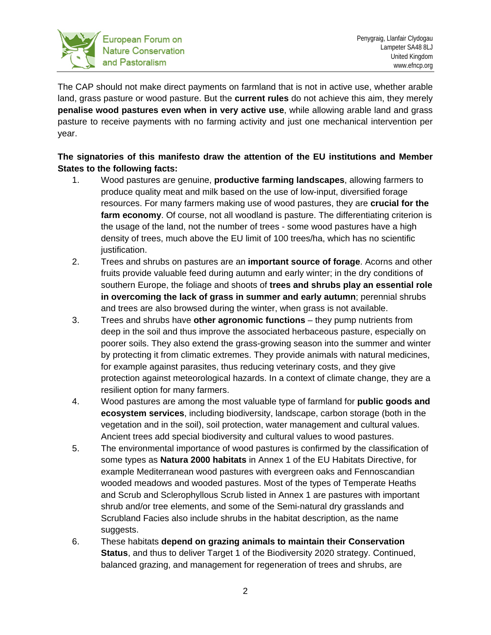

The CAP should not make direct payments on farmland that is not in active use, whether arable land, grass pasture or wood pasture. But the **current rules** do not achieve this aim, they merely **penalise wood pastures even when in very active use**, while allowing arable land and grass pasture to receive payments with no farming activity and just one mechanical intervention per year.

## **The signatories of this manifesto draw the attention of the EU institutions and Member States to the following facts:**

- 1. Wood pastures are genuine, **productive farming landscapes**, allowing farmers to produce quality meat and milk based on the use of low-input, diversified forage resources. For many farmers making use of wood pastures, they are **crucial for the farm economy**. Of course, not all woodland is pasture. The differentiating criterion is the usage of the land, not the number of trees - some wood pastures have a high density of trees, much above the EU limit of 100 trees/ha, which has no scientific justification.
- 2. Trees and shrubs on pastures are an **important source of forage**. Acorns and other fruits provide valuable feed during autumn and early winter; in the dry conditions of southern Europe, the foliage and shoots of **trees and shrubs play an essential role in overcoming the lack of grass in summer and early autumn**; perennial shrubs and trees are also browsed during the winter, when grass is not available.
- 3. Trees and shrubs have **other agronomic functions** they pump nutrients from deep in the soil and thus improve the associated herbaceous pasture, especially on poorer soils. They also extend the grass-growing season into the summer and winter by protecting it from climatic extremes. They provide animals with natural medicines, for example against parasites, thus reducing veterinary costs, and they give protection against meteorological hazards. In a context of climate change, they are a resilient option for many farmers.
- 4. Wood pastures are among the most valuable type of farmland for **public goods and ecosystem services**, including biodiversity, landscape, carbon storage (both in the vegetation and in the soil), soil protection, water management and cultural values. Ancient trees add special biodiversity and cultural values to wood pastures.
- 5. The environmental importance of wood pastures is confirmed by the classification of some types as **Natura 2000 habitats** in Annex 1 of the EU Habitats Directive, for example Mediterranean wood pastures with evergreen oaks and Fennoscandian wooded meadows and wooded pastures. Most of the types of Temperate Heaths and Scrub and Sclerophyllous Scrub listed in Annex 1 are pastures with important shrub and/or tree elements, and some of the Semi-natural dry grasslands and Scrubland Facies also include shrubs in the habitat description, as the name suggests.
- 6. These habitats **depend on grazing animals to maintain their Conservation Status**, and thus to deliver Target 1 of the Biodiversity 2020 strategy. Continued, balanced grazing, and management for regeneration of trees and shrubs, are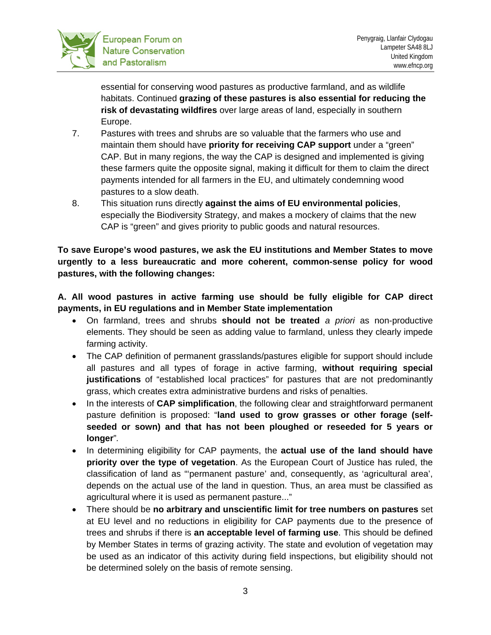

essential for conserving wood pastures as productive farmland, and as wildlife habitats. Continued **grazing of these pastures is also essential for reducing the risk of devastating wildfires** over large areas of land, especially in southern Europe.

- 7. Pastures with trees and shrubs are so valuable that the farmers who use and maintain them should have **priority for receiving CAP support** under a "green" CAP. But in many regions, the way the CAP is designed and implemented is giving these farmers quite the opposite signal, making it difficult for them to claim the direct payments intended for all farmers in the EU, and ultimately condemning wood pastures to a slow death.
- 8. This situation runs directly **against the aims of EU environmental policies**, especially the Biodiversity Strategy, and makes a mockery of claims that the new CAP is "green" and gives priority to public goods and natural resources.

**To save Europe's wood pastures, we ask the EU institutions and Member States to move urgently to a less bureaucratic and more coherent, common-sense policy for wood pastures, with the following changes:**

**A. All wood pastures in active farming use should be fully eligible for CAP direct payments, in EU regulations and in Member State implementation**

- On farmland, trees and shrubs **should not be treated** *a priori* as non-productive elements. They should be seen as adding value to farmland, unless they clearly impede farming activity.
- The CAP definition of permanent grasslands/pastures eligible for support should include all pastures and all types of forage in active farming, **without requiring special justifications** of "established local practices" for pastures that are not predominantly grass, which creates extra administrative burdens and risks of penalties.
- In the interests of **CAP simplification**, the following clear and straightforward permanent pasture definition is proposed: "**land used to grow grasses or other forage (selfseeded or sown) and that has not been ploughed or reseeded for 5 years or longer**"*.*
- In determining eligibility for CAP payments, the **actual use of the land should have priority over the type of vegetation**. As the European Court of Justice has ruled, the classification of land as "'permanent pasture' and, consequently, as 'agricultural area', depends on the actual use of the land in question. Thus, an area must be classified as agricultural where it is used as permanent pasture..."
- There should be **no arbitrary and unscientific limit for tree numbers on pastures** set at EU level and no reductions in eligibility for CAP payments due to the presence of trees and shrubs if there is **an acceptable level of farming use**. This should be defined by Member States in terms of grazing activity. The state and evolution of vegetation may be used as an indicator of this activity during field inspections, but eligibility should not be determined solely on the basis of remote sensing.